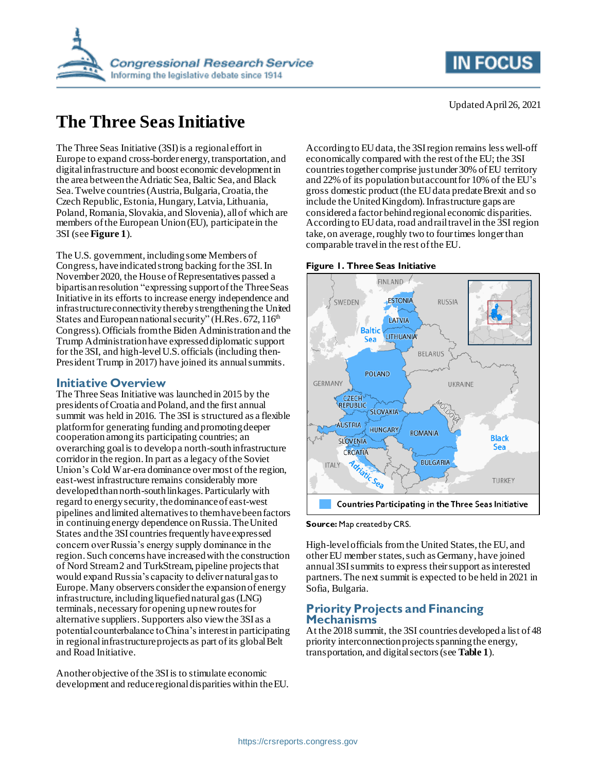

# **The Three Seas Initiative**

The Three Seas Initiative (3SI) is a regional effort in Europe to expand cross-border energy, transportation, and digital infrastructure and boost economic development in the area between the Adriatic Sea, Baltic Sea, and Black Sea. Twelve countries(Austria, Bulgaria, Croatia, the Czech Republic, Estonia, Hungary, Latvia, Lithuania, Poland, Romania, Slovakia, and Slovenia), all of which are members of the European Union (EU), participate in the 3SI (see **[Figure 1](#page-0-0)**).

The U.S. government, including some Members of Congress, have indicated strong backing for the 3SI. In November 2020, the House of Representatives passed a bipartisan resolution "expressing support of the Three Seas Initiative in its efforts to increase energy independence and infrastructure connectivity thereby strengthening the United States and European national security" (H.Res.  $672$ ,  $116<sup>th</sup>$ Congress).Officials from the Biden Administration and the Trump Administration have expressed diplomatic support for the 3SI, and high-level U.S. officials (including then-President Trump in 2017) have joined its annual summits.

### **Initiative Overview**

The Three Seas Initiative was launched in 2015 by the presidents of Croatia and Poland, and the first annual summit was held in 2016. The 3SI is structured as a flexible platform for generating funding and promoting deeper cooperation among its participating countries; an overarching goal is to develop a north-southinfrastructure corridor in the region. In part as a legacy of the Soviet Union's Cold War-era dominance over most of the region, east-west infrastructure remains considerably more developed than north-south linkages. Particularly with regard to energy security, the dominance of east-west pipelines and limited alternatives to them havebeen factors in continuing energy dependence on Russia. The United States and the 3SI countries frequently have expressed concern over Russia's energy supply dominance in the region. Such concerns have increased with the construction of Nord Stream 2 and TurkStream, pipeline projects that would expand Russia's capacity to deliver natural gas to Europe.Many observers consider the expansion of energy  $in$ frastructure, including liquefied natural gas (LNG) terminals, necessaryfor opening up new routes for alternative suppliers. Supporters also view the 3SI as a potential counterbalance to China's interest in participating in regional infrastructure projects as part of its global Belt and Road Initiative.

Another objective of the 3SI is to stimulate economic development and reduceregional disparities within the EU. According to EU data, the 3SI region remains less well-off economically compared with the rest of the EU; the 3SI countries together comprise just under 30% of EU territory and 22% of its population but account for 10% of the EU's gross domestic product (the EU data predateBrexit and so include the United Kingdom). Infrastructure gaps are considered a factor behind regional economic disparities. According to EU data, road and rail travel in the 3SI region take, on average, roughly two to four times longer than comparable travel in the rest of the EU.

#### <span id="page-0-0"></span>**Figure 1. Three Seas Initiative**



**Source:** Map created by CRS.

High-level officials from the United States, the EU, and other EU member states, such as Germany, have joined annual 3SI summits to express their support as interested partners. The next summit is expected to be held in 2021 in Sofia, Bulgaria.

# **Priority Projects and Financing Mechanisms**

At the 2018 summit, the 3SI countries developed a list of 48 priority interconnection projects spanning the energy, transportation, and digital sectors (see **[Table 1](#page-1-0)**).

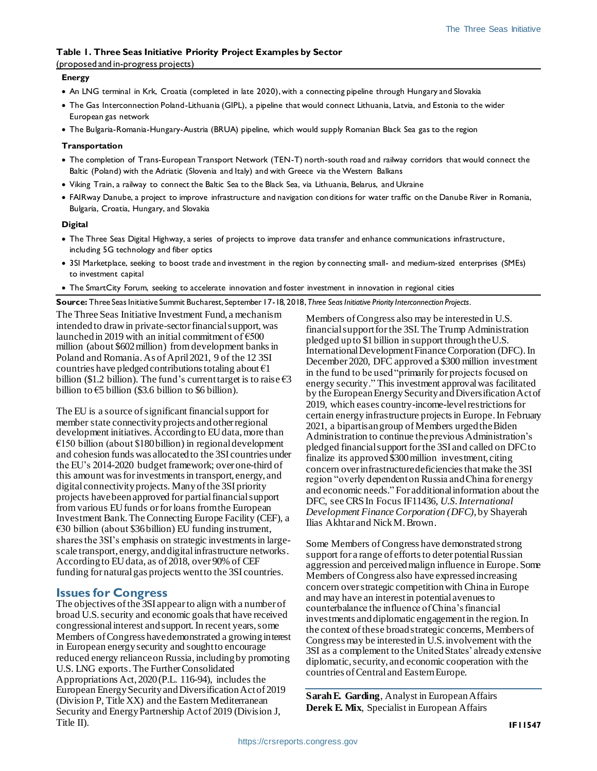#### <span id="page-1-0"></span>**Table 1. Three Seas Initiative Priority Project Examples by Sector**

#### (proposed and in-progress projects)

#### **Energy**

- An LNG terminal in Krk, Croatia (completed in late 2020), with a connecting pipeline through Hungary and Slovakia
- The Gas Interconnection Poland-Lithuania (GIPL), a pipeline that would connect Lithuania, Latvia, and Estonia to the wider European gas network
- The Bulgaria-Romania-Hungary-Austria (BRUA) pipeline, which would supply Romanian Black Sea gas to the region

#### **Transportation**

- The completion of Trans-European Transport Network (TEN-T) north-south road and railway corridors that would connect the Baltic (Poland) with the Adriatic (Slovenia and Italy) and with Greece via the Western Balkans
- Viking Train, a railway to connect the Baltic Sea to the Black Sea, via Lithuania, Belarus, and Ukraine
- FAIRway Danube, a project to improve infrastructure and navigation conditions for water traffic on the Danube River in Romania, Bulgaria, Croatia, Hungary, and Slovakia

#### **Digital**

- The Three Seas Digital Highway, a series of projects to improve data transfer and enhance communications infrastructure, including 5G technology and fiber optics
- 3SI Marketplace, seeking to boost trade and investment in the region by connecting small- and medium-sized enterprises (SMEs) to investment capital
- The SmartCity Forum, seeking to accelerate innovation and foster investment in innovation in regional cities
- **Source:** Three Seas Initiative Summit Bucharest, September 17-18, 2018, *Three Seas Initiative Priority Interconnection Projects*.

The Three Seas Initiative Investment Fund, a mechanism intended to draw in private-sector financial support, was launched in 2019 with an initial commitment of  $\epsilon$ 500 million (about \$602 million) from development banks in Poland and Romania.As of April 2021, 9 of the 12 3SI countries have pledged contributions totaling about  $\epsilon_1$ billion (\$1.2 billion). The fund's current target is to raise  $\epsilon$ 3 billion to  $\epsilon$ 5 billion (\$3.6 billion to \$6 billion).

The EU is a source of significant financial support for member state connectivity projects and other regional development initiatives. According to EU data, more than €150 billion (about \$180billion) in regional development and cohesion funds was allocated to the 3SI countries under the EU's 2014-2020 budget framework; over one-third of this amount was for investments in transport, energy, and digital connectivity projects. Manyof the 3SI priority projects have been approved for partialfinancial support from various EU funds or for loans from the European Investment Bank. The Connecting Europe Facility (CEF), a  $\epsilon$ 30 billion (about \$36 billion) EU funding instrument, shares the 3SI's emphasis on strategic investments in largescale transport, energy, and digital infrastructure networks. According to EU data, as of 2018, over 90% of CEF funding for natural gas projects went to the 3SI countries.

# **Issues for Congress**

The objectives of the 3SI appearto align with a number of broad U.S. security and economic goals that have received congressional interest and support. In recent years, some Members of Congress have demonstrated a growing interest in European energy security and sought to encourage reduced energy reliance on Russia, including by promoting U.S. LNG exports. The Further Consolidated Appropriations Act, 2020 (P.L. 116-94), includes the European Energy Security and Diversification Act of 2019 (Division P, Title XX) and the Eastern Mediterranean Security and Energy Partnership Act of 2019 (Division J, Title II).

Members of Congress also may be interested in U.S. financial support forthe 3SI. The Trump Administration pledged up to \$1 billion in support through the U.S. International Development Finance Corporation (DFC). In December 2020, DFC approved a \$300 million investment in the fund to be used "primarily for projects focused on energy security." This investment approval was facilitated by the European Energy Security and Diversification Act of 2019, which eases country-income-level restrictions for certain energy infrastructure projects in Europe.In February 2021, a bipartisan group of Members urged the Biden Administration to continue the previous Administration's pledged financial support forthe 3SI and called on DFC to finalize its approved \$300 million investment, citing concern over infrastructure deficiencies that make the 3SI region "overly dependent on Russia and China for energy and economic needs." For additional information about the DFC, see CRS In Focus IF11436, *U.S. International Development Finance Corporation (DFC)*, by Shayerah Ilias Akhtar and Nick M. Brown.

Some Members of Congress have demonstrated strong support for a range of efforts to deter potential Russian aggression and perceived malign influence in Europe. Some Members of Congress also have expressedincreasing concern over strategic competition with China in Europe and may have an interest in potential avenues to counterbalance the influence of China's financial investments and diplomatic engagement in the region. In the context of these broad strategic concerns, Members of Congress may be interested in U.S. involvement with the 3SI as a complement to the United States' already extensive diplomatic, security, and economic cooperation with the countries of Central and Eastern Europe.

**Sarah E. Garding**, Analyst in European Affairs **Derek E. Mix**, Specialist in European Affairs